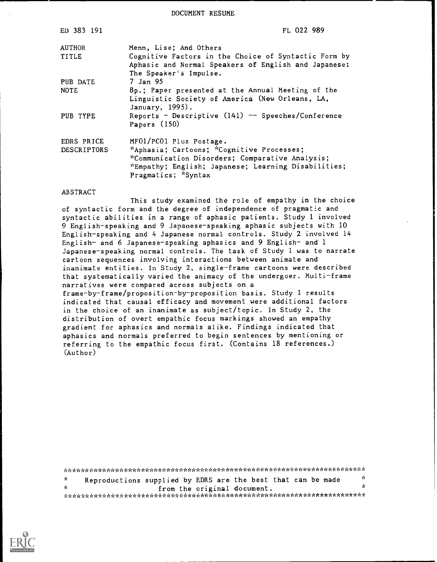DOCUMENT RESUME

| ED 383 191                | FL 022 989                                                                                                                                                                                            |
|---------------------------|-------------------------------------------------------------------------------------------------------------------------------------------------------------------------------------------------------|
| <b>AUTHOR</b>             | Menn, Lise; And Others                                                                                                                                                                                |
| <b>TITLE</b>              | Cognitive Factors in the Choice of Syntactic Form by<br>Aphasic and Normal Speakers of English and Japanese:<br>The Speaker's Impulse.                                                                |
| PUB DATE                  | 7 Jan 95                                                                                                                                                                                              |
| <b>NOTE</b>               | 8p.; Paper presented at the Annual Meeting of the<br>Linguistic Society of America (New Orleans, LA,<br>January, 1995).                                                                               |
| PUB TYPE                  | Reports - Descriptive $(141)$ -- Speeches/Conference<br>Papers $(150)$                                                                                                                                |
| EDRS PRICE<br>DESCRIPTORS | MF01/PC01 Plus Postage.<br>*Aphasia; Cartoons; *Cognitive Processes;<br>*Communication Disorders; Comparative Analysis;<br>*Empathy; English; Japanese; Learning Disabilities;<br>Pragmatics; *Syntax |

## **ABSTRACT**

This study examined the role of empathy in the choice of syntactic form and the degree of independence of pragmatic and syntactic abilities in a range of aphasic patients. Study 1 involved 9 English-speaking and 9 Japanese-speaking aphasic subjects with 10 English-speaking and 4 Japanese normal controls. Study 2 involved 14 English- and 6 Japanese-speaking aphasics and 9 English- and 1 Japanese-speaking normal controls. The task of Study 1 was to narrate cartoon sequences involving interactions between animate and inanimate entities. In Study 2, single-frame cartoons were described that systematically varied the animacy of the undergoer. Multi-frame narratives were compared across subjects on a frame-by-frame/proposition-by-proposition basis. Study 1 results indicated that causal efficacy and movement were additional factors in the choice of an inanimate as subject/topic. In Study 2, the distribution of overt empathic focus markings showed an empathy gradient for aphasics and normals alike. Findings indicated that aphasics and normals preferred to begin sentences by mentioning or referring to the empathic focus first. (Contains 18 references.)  $(Author)$ 

 $\mathbf{x}^{\prime}$  $\Lambda$ Reproductions supplied by EDRS are the best that can be made  $\mathbf{x}$  $\mathbf{r}$ from the original document. 

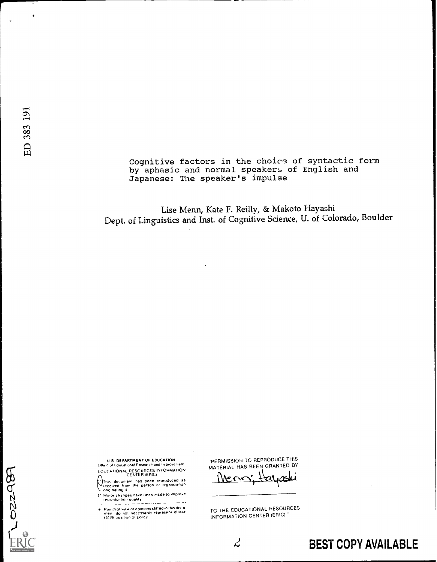1022989

Cognitive factors in the choice of syntactic form by aphasic and normal speakers of English and Japanese: The speaker's impulse

Lise Menn, Kate F. Reilly, & Makoto Hayashi Dept. of Linguistics and Inst. of Cognitive Science, U. of Colorado, Boulder

U.S. DEPARTMENT OF EDUCATION EDUCATIONAL RESOURCES INFORMATION

This document has been reproduced as<br>received from the person or organization<br>originating it

s congenients in<br>17 Minor changes have been made to improve<br>17 reproduction quality . . . **. . . . .** . i a tingin

e: Points of view nr opinions stated in this document: do inot: necessarily: represent: official<br>- ment: do: not: necessarily: represent: official<br>- Of: Rt position: or policy

"PERMISSION TO REPRODUCE THIS MATERIAL HAS BEEN GRANTED BY

Mens;

TO THE EDUCATIONAL RESOURCES INFORMATION CENTER (ERIC)"

 $\overline{\mathcal{L}}$ 

**BEST COPY AVAILABLE**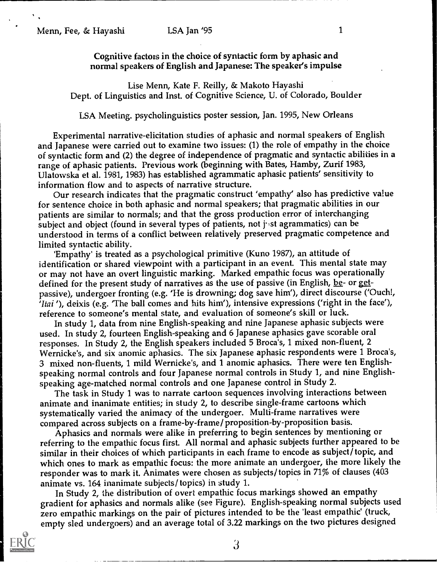Cognitive factors in the choice of syntactic form by aphasic and normal speakers of English and Japanese: The speaker's impulse

Lise Menn, Kate F. Reilly, & Makoto Hayashi Dept. of Linguistics and Inst. of Cognitive Science, U. of Colorado, Boulder

LSA Meeting. psycholinguistics poster session, Jan. 1995, New Orleans

Experimental narrative-elicitation studies of aphasic and normal speakers of English and Japanese were carried out to examine two issues: (1) the role of empathy in the choice of syntactic form and (2) the degree of independence of pragmatic and syntactic abilities in a range of aphasic patients. Previous work (beginning with Bates, Hamby, Zurif 1983, Ulatowska et al. 1981, 1983) has established agrammatic aphasic patients' sensitivity to information flow and to aspects of narrative structure.

Our research indicates that the pragmatic construct 'empathy' also has predictive value for sentence choice in both aphasic and normal speakers; that pragmatic abilities in our patients are similar to normals; and that the gross production error of interchanging subject and object (found in several types of patients, not just agrammatics) can be understood in terms of a conflict between relatively preserved pragmatic competence and limited syntactic ability.

'Empathy' is treated as a psychological primitive (Kuno 1987), an attitude of identification or shared viewpoint with a participant in an event. This mental state may or may not have an overt linguistic marking. Marked empathic focus was operationally defined for the present study of narratives as the use of passive (in English, be- or getpassive), undergoer fronting (e.g. 'He is drowning; dog save him'), direct discourse ('Ouch!, 'Itai '), deixis (e.g. 'The ball comes and hits him'), intensive expressions ('right in the face'), reference to someone's mental state, and evaluation of someone's skill or luck.

In study 1, data from nine English-speaking and nine Japanese aphasic subjects were used. In study 2, fourteen English-speaking and 6 Japanese aphasics gave scorable oral responses. In Study 2, the English speakers included 5 Broca's, 1 mixed non-fluent, 2 Wernicke's, and six anomie aphasics. The six Japanese aphasic respondents were 1 Broca's, 3 mixed non-fluents, 1 mild Wernicke's, and 1 anomie aphasics. There were ten Englishspeaking normal controls and four Japanese normal controls in Study 1, and nine Englishspeaking age-matched normal controls and one Japanese control in Study 2.

The task in Study 1 was to narrate cartoon sequences involving interactions between animate and inanimate entities; in study 2, to describe single-frame cartoons which systematically varied the animacy of the undergoer. Multi-frame narratives were compared across subjects on a frame -by- frame/ proposition -by- proposition basis.

Aphasics and normals were alike in preferring to begin sentences by mentioning or referring to the empathic focus first. All normal and aphasic subjects further appeared to be similar in their choices of which participants in each frame to encode as subject/ topic, and which ones to mark as empathic focus: the more animate an undergoer, the more likely the responder was to mark it. Animates were chosen as subjects/ topics in 71% of clauses (403 animate vs. 164 inanimate subjects/ topics) in study 1.

In Study 2, the distribution of overt empathic focus markings showed an empathy gradient for aphasics and normals alike (see Figure). English-speaking normal subjects used zero empathic markings on the pair of pictures intended to be the 'least empathic' (truck, empty sled undergoers) and an average total of 3.22 markings on the two pictures designed



 $\beta$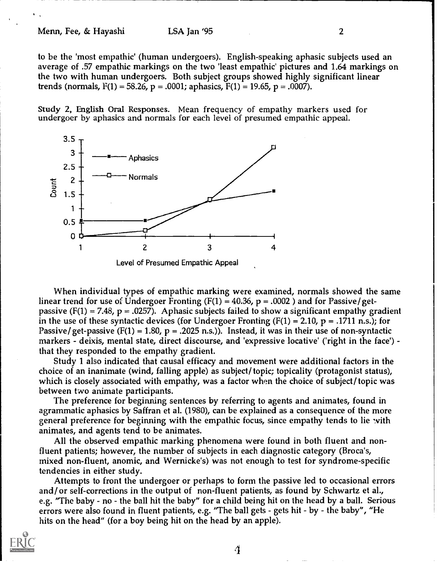to be the 'most empathic' (human undergoers). English-speaking aphasic subjects used an average of .57 empathic markings on the two 'least empathic' pictures and 1.64 markings on the two with human undergoers. Both subject groups showed highly significant linear trends (normals,  $F(1) = 58.26$ ,  $p = .0001$ ; aphasics,  $F(1) = 19.65$ ,  $p = .0007$ ).

Study 2, English Oral Responses. Mean frequency of empathy markers used for undergoer by aphasics and normals for each level of presumed empathic appeal.



When individual types of empathic marking were examined, normals showed the same linear trend for use of Undergoer Fronting (F(1) = 40.36,  $p = .0002$ ) and for Passive/getpassive (F(1) = 7.48, p = .0257). Aphasic subjects failed to show a significant empathy gradient in the use of these syntactic devices (for Undergoer Fronting  $(F(1) = 2.10, p = .1711)$  n.s.); for Passive/get-passive (F(1) = 1.80, p = .2025 n.s.)). Instead, it was in their use of non-syntactic markers - deixis, mental state, direct discourse, and 'expressive locative' ('right in the face') that they responded to the empathy gradient.

Study 1 also indicated that causal efficacy and movement were additional factors in the choice of an inanimate (wind, falling apple) as subject/ topic; topicality (protagonist status), which is closely associated with empathy, was a factor when the choice of subject/ topic was between two animate participants.

The preference for beginning sentences by referring to agents and animates, found in agrammatic aphasics by Saffran et al. (1980), can be explained as a consequence of the more general preference for beginning with the empathic focus, since empathy tends to lie with animates, and agents tend to be animates.

All the observed empathic marking phenomena were found in both fluent and nonfluent patients; however, the number of subjects in each diagnostic category (Broca's, mixed non-fluent, anomie, and Wernicke's) was not enough to test for syndrome-specific tendencies in either study.

Attempts to front the undergoer or perhaps to form the passive led to occasional errors and/or self-corrections in the output of non-fluent patients, as found by Schwartz et al., e.g. "The baby - no - the ball hit the baby" for a child being hit on the head by a ball. Serious errors were also found in fluent patients, e.g. "The ball gets - gets hit - by - the baby", "He hits on the head" (for a boy being hit on the head by an apple).

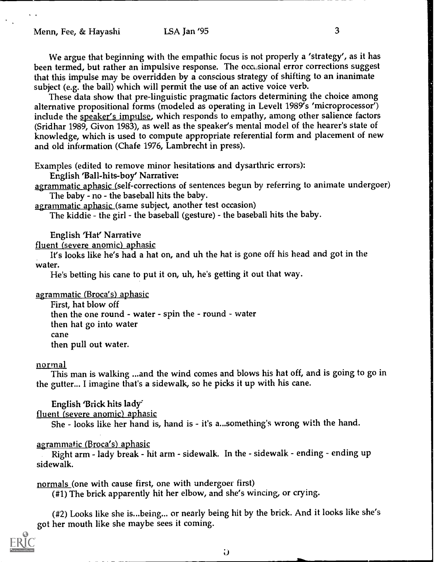We argue that beginning with the empathic focus is not properly a 'strategy', as it has been termed, but rather an impulsive response. The occusional error corrections suggest that this impulse may be overridden by a conscious strategy of shifting to an inanimate subject (e.g. the ball) which will permit the use of an active voice verb.

These data show that pre-linguistic pragmatic factors determining the choice among alternative propositional forms (modeled as operating in Levelt 1989's 'microprocessor') include the speaker's impulse, which responds to empathy, among other salience factors (Sridhar 1989, Givon 1983), as well as the speaker's mental model of the hearer's state of knowledge, which is used to compute appropriate referential form and placement of new and old information (Chafe 1976, Lambrecht in press).

Examples (edited to remove minor hesitations and dysarthric errors):

English 'Ball-hits-boy' Narrative:

agrammatic aphasic (self-corrections of sentences begun by referring to animate undergoer) The baby - no - the baseball hits the baby.

agrammatic aphasic (same subject, another test occasion)

The kiddie - the girl - the baseball (gesture) - the baseball hits the baby.

English 'Hat' Narrative

fluent (severe anomic) aphasic

It's looks like he's had a hat on, and uh the hat is gone off his head and got in the water.

He's betting his cane to put it on, uh, he's getting it out that way.

<u>agrammatic (Broca's) aphasic</u>

First, hat blow off then the one round - water - spin the - round - water then hat go into water cane then pull out water.

## normal

This man is walking ...and the wind comes and blows his hat off, and is going to go in the gutter... I imagine that's a sidewalk, so he picks it up with his cane.

English 'Brick hits lady'

fluent (severe anomic) aphasic

She - looks like her hand is, hand is - it's a...something's wrong with the hand.

## agrammatic (Broca's) aphasic

Right arm - lady break - hit arm - sidewalk. In the - sidewalk - ending - ending up sidewalk.

normals (one with cause first, one with undergoer first)

(#1) The brick apparently hit her elbow, and she's wincing, or crying.

(#2) Looks like she is...being... or nearly being hit by the brick. And it looks like she's got her mouth like she maybe sees it coming.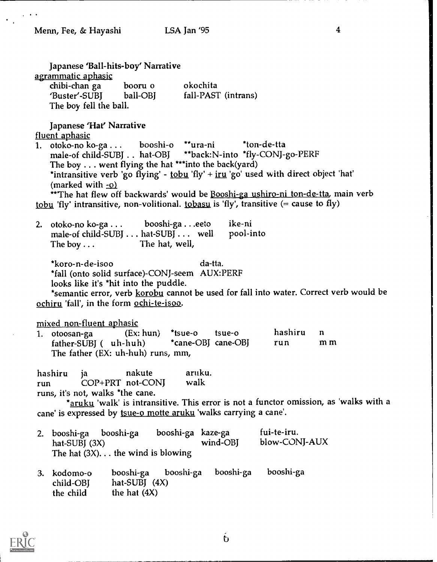Japanese 'Ball-hits-boy' Narrative agrammatic aphasic<br>chibi-chan ga booru o chibi-chan ga booru o okochita<br>'Buster'-SUBI ball-OBI fall-PAST fall-PAST (intrans) The boy fell the ball. Japanese 'Hat' Narrative fluent aphasic 1. otoko-no ko-ga . . . booshi-o \*\*ura-ni \*ton-de-tta<br>male-of child-SUBI . . hat-OBI \*\*back:N-into \*fly-CONJ-\*\*back:N-into \*fly-CONJ-go-PERF The boy  $\dots$  went flying the hat \*\*\*into the back(yard) \*intransitive verb 'go flying' -  $tobu$  'fly' +  $iru$  'go' used with direct object 'hat'</u></u> (marked with -o) \*\*The hat flew off backwards' would be Booshi-ga ushiro-ni ton-de-tta, main verb tobu, 'fly' intransitive, non-volitional. tobasu is 'fly', transitive (= cause to fly) 2. otoko-no ko-ga ... booshi-ga ...eeto ike-ni<br>male-of child-SUBI ... hat-SUBI ... well pool-into male-of child-SUBJ  $\dots$  hat-SUBJ  $\dots$  well<br>The boy  $\dots$  The hat, well, The hat, well, \*koro-n-de-isoo da-tta. \*fall (onto solid surface)-CONJ-seem AUX:PERF looks like it's \*hit into the puddle. \*semantic error, verb korobu cannot be used for fall into water. Correct verb would be ochiru 'fall', in the form ochi-te-isoo. mixed\_non-fluent\_aphasic<br>1. otoosan-ga (Ex: hun) \*tsue-o 1. otoosan-ga (Ex: hun) \*tsue-o tsue-o hashiru n father-SUBJ ( uh-huh) \*cane-OBJ cane-OBJ run m m The father (EX: uh-huh) runs, mm, hashiru ja nakute aruku.<br>
run COP+PRT not-CONI walk run COP+PRT not-CONJ runs, it's not, walks \*the cane. \*aruku 'walk' is intransitive. This error is not a functor omission, as 'walks with a cane' is expressed by tsue-o motte aruku 'walks carrying a cane'. 2. booshi-ga booshi-ga booshi-ga kaze-ga fui-te-iru.<br>hat-SUBI (3X) wind-OBI blow-CON hat-SUBI (3X) wind-OBJ blow-CONJ-AUX The hat  $(3X)$ ... the wind is blowing 3. kodomo-o booshi-ga booshi-ga booshi-ga booshi-ga child-OBJ hat-SUBJ (4X)<br>the child the hat (4X)

the hat  $(4X)$ 



 $\mathbf b$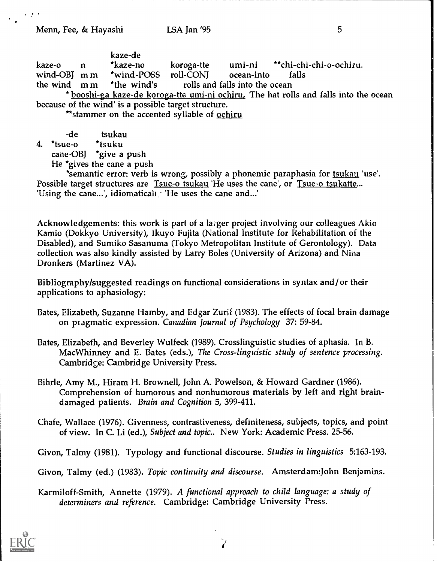Menn, Fee, & Hayashi **LSA Jan '95** 5

| kaze-o n | kaze-de<br>*kaze-no                                     | koroga-tte | umi-ni **chi-chi-chi-o-ochiru.                                                      |  |
|----------|---------------------------------------------------------|------------|-------------------------------------------------------------------------------------|--|
|          | wind-OBJ m m *wind-POSS roll-CONJ ocean-into            |            | alls falls                                                                          |  |
|          | the wind m m *the wind's rolls and falls into the ocean |            |                                                                                     |  |
|          |                                                         |            | * hooghi on leave do leaves the umi ni ochime. The het velle and felle into the age |  |

booshi-ga kaze-de koroga-tte umi-ni ochiru, 'The hat rolls and falls into the ocean because of the wind' is a possible target structure.

\*\*stammer on the accented syllable of ochiru

| -de                       | tsukau |  |
|---------------------------|--------|--|
| 4. *tsue-o                | *tsuku |  |
| cane-OBJ *give a push     |        |  |
| He *gives the cane a push |        |  |

\*semantic error: verb is wrong, possibly a phonemic paraphasia for tsukau 'use'. Possible target structures are Tsue-o tsukau 'He uses the cane', or Tsue-o tsukatte... 'Using the cane...', idiomaticall 'He uses the cane and...'

Acknowledgements: this work is part of a lager project involving our colleagues Akio Kamio (Dokkyo University), Ikuyo Fujita (National Institute for Rehabilitation of the Disabled), and Sumiko Sasanuma (Tokyo Metropolitan Institute of Gerontology). Data collection was also kindly assisted by Larry Boles (University of Arizona) and Nina Dronkers (Martinez VA).

Bibliography/suggested readings on functional considerations in syntax and/or their applications to aphasiology:

- Bates, Elizabeth, Suzanne Hamby, and Edgar Zurif (1983). The effects of focal brain damage on pragmatic expression. Canadian Journal of Psychology 37: 59-84.
- Bates, Elizabeth, and Beverley Wulfeck (1989). Crosslinguistic studies of aphasia. In B. MacWhinney and E. Bates (eds.), The Cross-linguistic study of sentence processing. Cambridge: Cambridge University Press.
- Bihrle, Amy M., Hiram H. Brownell, John A. Powelson, & Howard Gardner (1986). Comprehension of humorous and nonhumorous materials by left and right braindamaged patients. Brain and Cognition 5, 399-411.
- Chafe, Wallace (1976). Givenness, contrastiveness, definiteness, subjects, topics, and point of view. In C. Li (ed.), Subject and topic.. New York: Academic Press. 25-56.

Givon, Talmy (1981). Typology and functional discourse. Studies in linguistics 5:163-193.

Givon, Talmy (ed.) (1983). Topic continuity and discourse. Amsterdam:John Benjamins.

Karmiloff-Smith, Annette (1979). A functional approach to child language: a study of determiners and reference. Cambridge: Cambridge University Press.